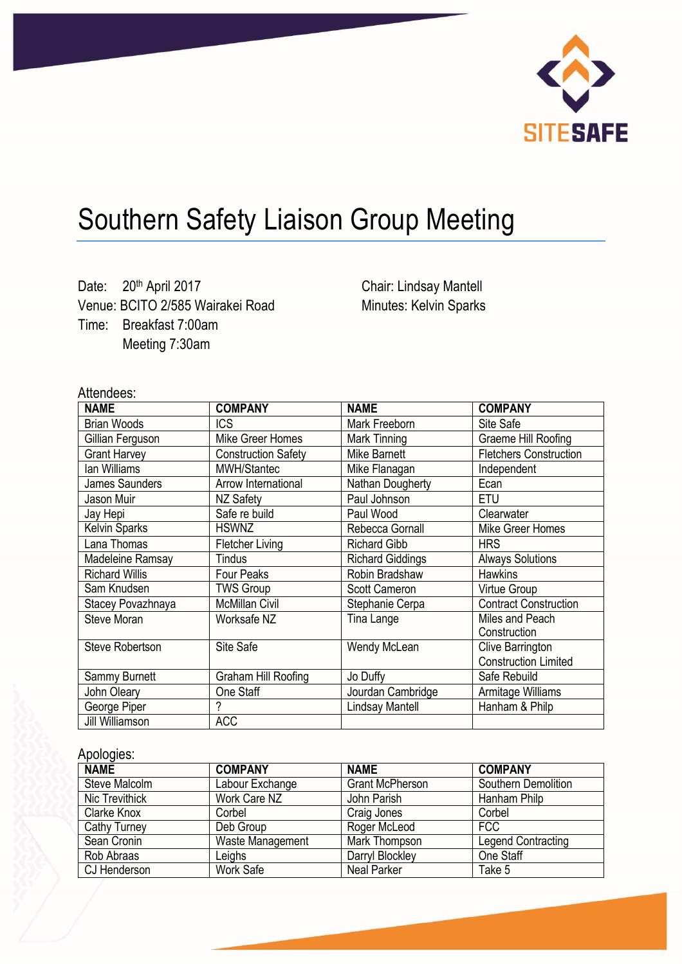

# Southern Safety Liaison Group Meeting

Date: 20<sup>th</sup> April 2017 Venue: BCITO 2/585 Wairakei Road Time: Breakfast 7:00am Meeting 7:30am

Chair: Lindsay Mantell Minutes: Kelvin Sparks

## Attendees:

| <b>NAME</b>            | <b>COMPANY</b>             | <b>NAME</b>             | <b>COMPANY</b>                |
|------------------------|----------------------------|-------------------------|-------------------------------|
| <b>Brian Woods</b>     | <b>ICS</b>                 | Mark Freeborn           | Site Safe                     |
| Gillian Ferguson       | Mike Greer Homes           | Mark Tinning            | Graeme Hill Roofing           |
| <b>Grant Harvey</b>    | <b>Construction Safety</b> | Mike Barnett            | <b>Fletchers Construction</b> |
| lan Williams           | MWH/Stantec                | Mike Flanagan           | Independent                   |
| <b>James Saunders</b>  | Arrow International        | Nathan Dougherty        | Ecan                          |
| Jason Muir             | NZ Safety                  | Paul Johnson            | <b>ETU</b>                    |
| Jay Hepi               | Safe re build              | Paul Wood               | Clearwater                    |
| <b>Kelvin Sparks</b>   | <b>HSWNZ</b>               | Rebecca Gornall         | Mike Greer Homes              |
| Lana Thomas            | <b>Fletcher Living</b>     | <b>Richard Gibb</b>     | <b>HRS</b>                    |
| Madeleine Ramsay       | <b>Tindus</b>              | <b>Richard Giddings</b> | <b>Always Solutions</b>       |
| <b>Richard Willis</b>  | <b>Four Peaks</b>          | Robin Bradshaw          | <b>Hawkins</b>                |
| Sam Knudsen            | <b>TWS Group</b>           | Scott Cameron           | Virtue Group                  |
| Stacey Povazhnaya      | <b>McMillan Civil</b>      | Stephanie Cerpa         | <b>Contract Construction</b>  |
| Steve Moran            | Worksafe NZ                | Tina Lange              | Miles and Peach               |
|                        |                            |                         | Construction                  |
| <b>Steve Robertson</b> | Site Safe                  | Wendy McLean            | Clive Barrington              |
|                        |                            |                         | <b>Construction Limited</b>   |
| Sammy Burnett          | Graham Hill Roofing        | Jo Duffy                | Safe Rebuild                  |
| John Oleary            | One Staff                  | Jourdan Cambridge       | Armitage Williams             |
| George Piper           |                            | Lindsay Mantell         | Hanham & Philp                |
| Jill Williamson        | <b>ACC</b>                 |                         |                               |

## Apologies:

| .<br><b>NAME</b> | <b>COMPANY</b>   | <b>NAME</b>            | <b>COMPANY</b>      |
|------------------|------------------|------------------------|---------------------|
| Steve Malcolm    | Labour Exchange  | <b>Grant McPherson</b> | Southern Demolition |
| Nic Trevithick   | Work Care NZ     | John Parish            | Hanham Philp        |
| Clarke Knox      | Corbel           | Craig Jones            | Corbel              |
| Cathy Turney     | Deb Group        | Roger McLeod           | <b>FCC</b>          |
| Sean Cronin      | Waste Management | Mark Thompson          | Legend Contracting  |
| Rob Abraas       | Leighs           | Darryl Blockley        | One Staff           |
| CJ Henderson     | Work Safe        | Neal Parker            | Take 5              |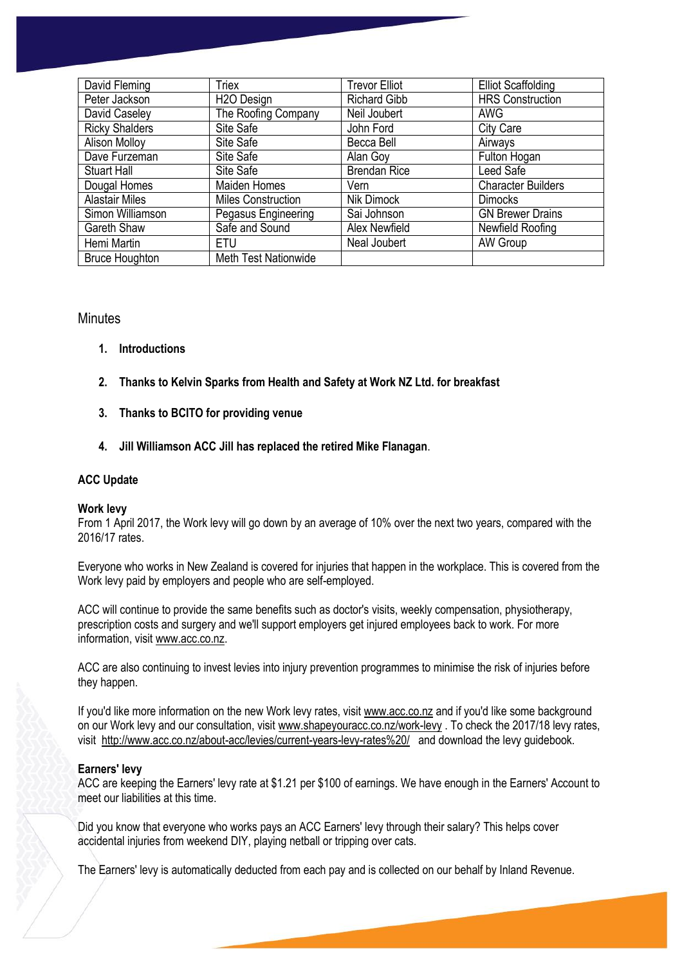| David Fleming         | Triex                       | <b>Trevor Elliot</b> | <b>Elliot Scaffolding</b> |
|-----------------------|-----------------------------|----------------------|---------------------------|
| Peter Jackson         | H <sub>2</sub> O Design     | <b>Richard Gibb</b>  | <b>HRS Construction</b>   |
| David Caseley         | The Roofing Company         | Neil Joubert         | <b>AWG</b>                |
| <b>Ricky Shalders</b> | Site Safe                   | John Ford            | <b>City Care</b>          |
| <b>Alison Molloy</b>  | Site Safe                   | Becca Bell           | Airways                   |
| Dave Furzeman         | Site Safe                   | Alan Goy             | Fulton Hogan              |
| <b>Stuart Hall</b>    | Site Safe                   | <b>Brendan Rice</b>  | Leed Safe                 |
| Dougal Homes          | <b>Maiden Homes</b>         | Vern                 | <b>Character Builders</b> |
| <b>Alastair Miles</b> | <b>Miles Construction</b>   | Nik Dimock           | <b>Dimocks</b>            |
| Simon Williamson      | Pegasus Engineering         | Sai Johnson          | <b>GN Brewer Drains</b>   |
| Gareth Shaw           | Safe and Sound              | Alex Newfield        | Newfield Roofing          |
| Hemi Martin           | ETU                         | Neal Joubert         | <b>AW Group</b>           |
| <b>Bruce Houghton</b> | <b>Meth Test Nationwide</b> |                      |                           |

## **Minutes**

- **1. Introductions**
- **2. Thanks to Kelvin Sparks from Health and Safety at Work NZ Ltd. for breakfast**
- **3. Thanks to BCITO for providing venue**
- **4. Jill Williamson ACC Jill has replaced the retired Mike Flanagan**.

## **ACC Update**

## **Work levy**

From 1 April 2017, the Work levy will go down by an average of 10% over the next two years, compared with the 2016/17 rates.

Everyone who works in New Zealand is covered for injuries that happen in the workplace. This is covered from the Work levy paid by employers and people who are self-employed.

ACC will continue to provide the same benefits such as doctor's visits, weekly compensation, physiotherapy, prescription costs and surgery and we'll support employers get injured employees back to work. For more information, visi[t www.acc.co.nz.](http://www.acc.co.nz/)

ACC are also continuing to invest levies into injury prevention programmes to minimise the risk of injuries before they happen.

If you'd like more information on the new Work levy rates, visit [www.acc.co.nz](http://www.acc.co.nz/) and if you'd like some background on our Work levy and our consultation, visi[t www.shapeyouracc.co.nz/work-levy](http://www.shapeyouracc.co.nz/work-levy) . To check the 2017/18 levy rates, visit<http://www.acc.co.nz/about-acc/levies/current-years-levy-rates%20/>and download the levy guidebook.

## **Earners' levy**

ACC are keeping the Earners' levy rate at \$1.21 per \$100 of earnings. We have enough in the Earners' Account to meet our liabilities at this time.

Did you know that everyone who works pays an ACC Earners' levy through their salary? This helps cover accidental injuries from weekend DIY, playing netball or tripping over cats.

The Earners' levy is automatically deducted from each pay and is collected on our behalf by Inland Revenue.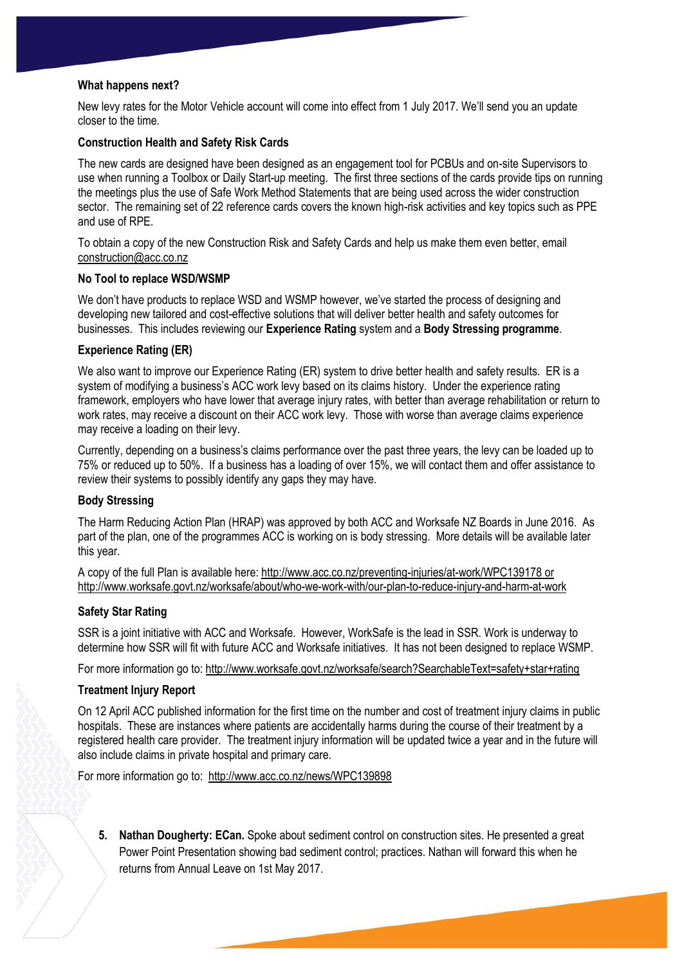#### **What happens next?**

New levy rates for the Motor Vehicle account will come into effect from 1 July 2017. We'll send you an update closer to the time.

#### **Construction Health and Safety Risk Cards**

The new cards are designed have been designed as an engagement tool for PCBUs and on-site Supervisors to use when running a Toolbox or Daily Start-up meeting. The first three sections of the cards provide tips on running the meetings plus the use of Safe Work Method Statements that are being used across the wider construction sector. The remaining set of 22 reference cards covers the known high-risk activities and key topics such as PPE and use of RPE.

To obtain a copy of the new Construction Risk and Safety Cards and help us make them even better, email [construction@acc.co.nz](mailto:construction@acc.co.nz)

#### **No Tool to replace WSD/WSMP**

We don't have products to replace WSD and WSMP however, we've started the process of designing and developing new tailored and cost-effective solutions that will deliver better health and safety outcomes for businesses. This includes reviewing our **Experience Rating** system and a **Body Stressing programme**.

#### **Experience Rating (ER)**

We also want to improve our Experience Rating (ER) system to drive better health and safety results. ER is a system of modifying a business's ACC work levy based on its claims history. Under the experience rating framework, employers who have lower that average injury rates, with better than average rehabilitation or return to work rates, may receive a discount on their ACC work levy. Those with worse than average claims experience may receive a loading on their levy.

Currently, depending on a business's claims performance over the past three years, the levy can be loaded up to 75% or reduced up to 50%. If a business has a loading of over 15%, we will contact them and offer assistance to review their systems to possibly identify any gaps they may have.

#### **Body Stressing**

The Harm Reducing Action Plan (HRAP) was approved by both ACC and Worksafe NZ Boards in June 2016. As part of the plan, one of the programmes ACC is working on is body stressing. More details will be available later this year.

A copy of the full Plan is available here:<http://www.acc.co.nz/preventing-injuries/at-work/WPC139178> or <http://www.worksafe.govt.nz/worksafe/about/who-we-work-with/our-plan-to-reduce-injury-and-harm-at-work>

## **Safety Star Rating**

SSR is a joint initiative with ACC and Worksafe. However, WorkSafe is the lead in SSR. Work is underway to determine how SSR will fit with future ACC and Worksafe initiatives. It has not been designed to replace WSMP.

For more information go to:<http://www.worksafe.govt.nz/worksafe/search?SearchableText=safety+star+rating>

#### **Treatment Injury Report**

On 12 April ACC published information for the first time on the number and cost of treatment injury claims in public hospitals. These are instances where patients are accidentally harms during the course of their treatment by a registered health care provider. The treatment injury information will be updated twice a year and in the future will also include claims in private hospital and primary care.

For more information go to: <http://www.acc.co.nz/news/WPC139898>

**5. Nathan Dougherty: ECan.** Spoke about sediment control on construction sites. He presented a great Power Point Presentation showing bad sediment control; practices. Nathan will forward this when he returns from Annual Leave on 1st May 2017.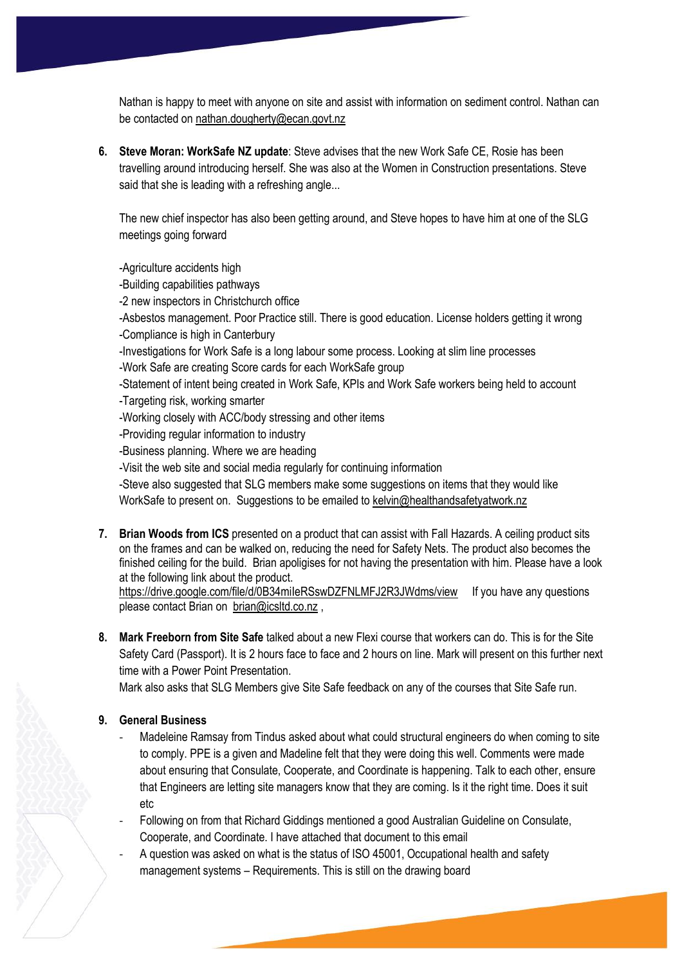Nathan is happy to meet with anyone on site and assist with information on sediment control. Nathan can be contacted on [nathan.dougherty@ecan.govt.nz](mailto:nathan.dougherty@ecan.govt.nz)

**6. Steve Moran: WorkSafe NZ update**: Steve advises that the new Work Safe CE, Rosie has been travelling around introducing herself. She was also at the Women in Construction presentations. Steve said that she is leading with a refreshing angle...

The new chief inspector has also been getting around, and Steve hopes to have him at one of the SLG meetings going forward

-Agriculture accidents high

-Building capabilities pathways

-2 new inspectors in Christchurch office

-Asbestos management. Poor Practice still. There is good education. License holders getting it wrong -Compliance is high in Canterbury

-Investigations for Work Safe is a long labour some process. Looking at slim line processes

-Work Safe are creating Score cards for each WorkSafe group

-Statement of intent being created in Work Safe, KPIs and Work Safe workers being held to account -Targeting risk, working smarter

-Working closely with ACC/body stressing and other items

-Providing regular information to industry

-Business planning. Where we are heading

-Visit the web site and social media regularly for continuing information

-Steve also suggested that SLG members make some suggestions on items that they would like WorkSafe to present on. Suggestions to be emailed to [kelvin@healthandsafetyatwork.nz](mailto:kelvin@healthandsafetyatwork.nz)

**7. Brian Woods from ICS** presented on a product that can assist with Fall Hazards. A ceiling product sits on the frames and can be walked on, reducing the need for Safety Nets. The product also becomes the finished ceiling for the build. Brian apoligises for not having the presentation with him. Please have a look at the following link about the product.

https://drive.google.com/file/d/0B34mileRSswDZFNLMFJ2R3JWdms/view If you have any questions please contact Brian on [brian@icsltd.co.nz](mailto:brian@icsltd.co.nz),

**8. Mark Freeborn from Site Safe** talked about a new Flexi course that workers can do. This is for the Site Safety Card (Passport). It is 2 hours face to face and 2 hours on line. Mark will present on this further next time with a Power Point Presentation.

Mark also asks that SLG Members give Site Safe feedback on any of the courses that Site Safe run.

## **9. General Business**

Madeleine Ramsay from Tindus asked about what could structural engineers do when coming to site to comply. PPE is a given and Madeline felt that they were doing this well. Comments were made about ensuring that Consulate, Cooperate, and Coordinate is happening. Talk to each other, ensure that Engineers are letting site managers know that they are coming. Is it the right time. Does it suit etc

- Following on from that Richard Giddings mentioned a good Australian Guideline on Consulate, Cooperate, and Coordinate. I have attached that document to this email

A question was asked on what is the status of ISO 45001, Occupational health and safety management systems – Requirements. This is still on the drawing board